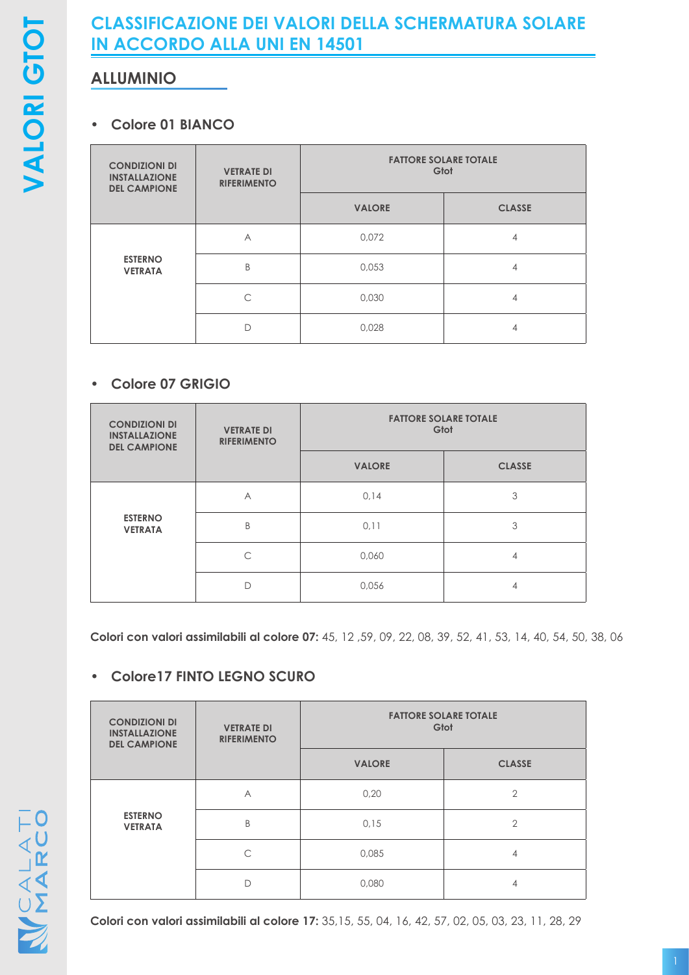# **CLASSIFICAZIONE DEI VALORI DELLA SCHERMATURA SOLARE IN ACCORDO ALLA UNI EN 14501**

# **ALLUMINIO**

#### **• Colore 01 BIANCO**

| <b>CONDIZIONI DI</b><br><b>INSTALLAZIONE</b><br><b>DEL CAMPIONE</b> | <b>VETRATE DI</b><br><b>RIFERIMENTO</b> | <b>FATTORE SOLARE TOTALE</b><br>Gtot |               |
|---------------------------------------------------------------------|-----------------------------------------|--------------------------------------|---------------|
|                                                                     |                                         | <b>VALORE</b>                        | <b>CLASSE</b> |
| <b>ESTERNO</b><br><b>VETRATA</b>                                    | A                                       | 0,072                                | 4             |
|                                                                     | B                                       | 0,053                                | 4             |
|                                                                     | ⌒                                       | 0,030                                | 4             |
|                                                                     | D                                       | 0,028                                | 4             |

### **• Colore 07 GRIGIO**

| <b>CONDIZIONI DI</b><br><b>INSTALLAZIONE</b><br><b>DEL CAMPIONE</b> | <b>VETRATE DI</b><br><b>RIFERIMENTO</b> | <b>FATTORE SOLARE TOTALE</b><br>Gtot |               |
|---------------------------------------------------------------------|-----------------------------------------|--------------------------------------|---------------|
|                                                                     |                                         | <b>VALORE</b>                        | <b>CLASSE</b> |
| <b>ESTERNO</b><br><b>VETRATA</b>                                    | A                                       | 0,14                                 | 3             |
|                                                                     | B                                       | 0,11                                 | 3             |
|                                                                     | $\subset$                               | 0,060                                | 4             |
|                                                                     | D                                       | 0,056                                | 4             |

**Colori con valori assimilabili al colore 07:** 45, 12 ,59, 09, 22, 08, 39, 52, 41, 53, 14, 40, 54, 50, 38, 06

## **• Colore17 FINTO LEGNO SCURO**

| <b>CONDIZIONI DI</b><br><b>INSTALLAZIONE</b><br><b>DEL CAMPIONE</b> | <b>VETRATE DI</b><br><b>RIFERIMENTO</b> | <b>FATTORE SOLARE TOTALE</b><br>Gtot |                |
|---------------------------------------------------------------------|-----------------------------------------|--------------------------------------|----------------|
|                                                                     |                                         | <b>VALORE</b>                        | <b>CLASSE</b>  |
|                                                                     | A                                       | 0,20                                 | $\overline{2}$ |
| <b>ESTERNO</b><br><b>VETRATA</b>                                    | B                                       | 0,15                                 | $\overline{2}$ |
|                                                                     | ⌒                                       | 0,085                                | 4              |
|                                                                     |                                         | 0,080                                | $\overline{4}$ |

**Colori con valori assimilabili al colore 17:** 35,15, 55, 04, 16, 42, 57, 02, 05, 03, 23, 11, 28, 29